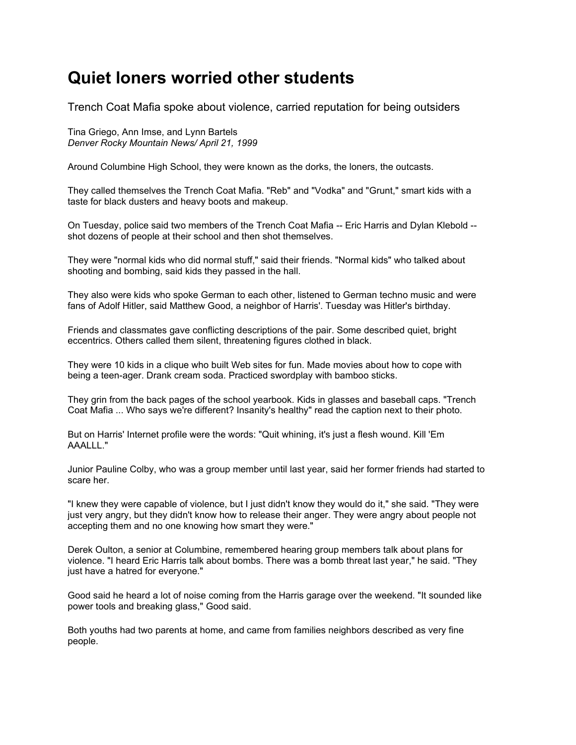## **Quiet loners worried other students**

Trench Coat Mafia spoke about violence, carried reputation for being outsiders

Tina Griego, Ann Imse, and Lynn Bartels *Denver Rocky Mountain News/ April 21, 1999*

Around Columbine High School, they were known as the dorks, the loners, the outcasts.

They called themselves the Trench Coat Mafia. "Reb" and "Vodka" and "Grunt," smart kids with a taste for black dusters and heavy boots and makeup.

On Tuesday, police said two members of the Trench Coat Mafia -- Eric Harris and Dylan Klebold - shot dozens of people at their school and then shot themselves.

They were "normal kids who did normal stuff," said their friends. "Normal kids" who talked about shooting and bombing, said kids they passed in the hall.

They also were kids who spoke German to each other, listened to German techno music and were fans of Adolf Hitler, said Matthew Good, a neighbor of Harris'. Tuesday was Hitler's birthday.

Friends and classmates gave conflicting descriptions of the pair. Some described quiet, bright eccentrics. Others called them silent, threatening figures clothed in black.

They were 10 kids in a clique who built Web sites for fun. Made movies about how to cope with being a teen-ager. Drank cream soda. Practiced swordplay with bamboo sticks.

They grin from the back pages of the school yearbook. Kids in glasses and baseball caps. "Trench Coat Mafia ... Who says we're different? Insanity's healthy" read the caption next to their photo.

But on Harris' Internet profile were the words: "Quit whining, it's just a flesh wound. Kill 'Em AAALLL."

Junior Pauline Colby, who was a group member until last year, said her former friends had started to scare her.

"I knew they were capable of violence, but I just didn't know they would do it," she said. "They were just very angry, but they didn't know how to release their anger. They were angry about people not accepting them and no one knowing how smart they were."

Derek Oulton, a senior at Columbine, remembered hearing group members talk about plans for violence. "I heard Eric Harris talk about bombs. There was a bomb threat last year," he said. "They just have a hatred for everyone."

Good said he heard a lot of noise coming from the Harris garage over the weekend. "It sounded like power tools and breaking glass," Good said.

Both youths had two parents at home, and came from families neighbors described as very fine people.